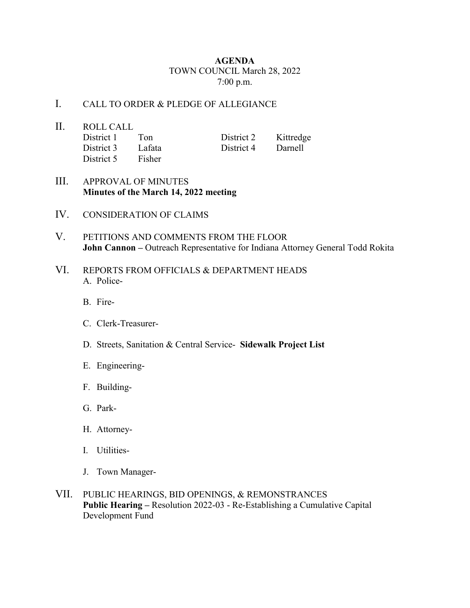## **AGENDA** TOWN COUNCIL March 28, 2022 7:00 p.m.

## I. CALL TO ORDER & PLEDGE OF ALLEGIANCE

- II. ROLL CALL<br>District 1 Ton District 2 Kittredge District 3 Lafata District 4 Darnell District 5 Fisher
- III. APPROVAL OF MINUTES **Minutes of the March 14, 2022 meeting**
- IV. CONSIDERATION OF CLAIMS
- V. PETITIONS AND COMMENTS FROM THE FLOOR **John Cannon –** Outreach Representative for Indiana Attorney General Todd Rokita
- VI. REPORTS FROM OFFICIALS & DEPARTMENT HEADS A. Police-
	- B. Fire-
	- C. Clerk-Treasurer-
	- D. Streets, Sanitation & Central Service- **Sidewalk Project List**
	- E. Engineering-
	- F. Building-
	- G. Park-
	- H. Attorney-
	- I. Utilities-
	- J. Town Manager-
- VII. PUBLIC HEARINGS, BID OPENINGS, & REMONSTRANCES **Public Hearing –** Resolution 2022-03 - Re-Establishing a Cumulative Capital Development Fund